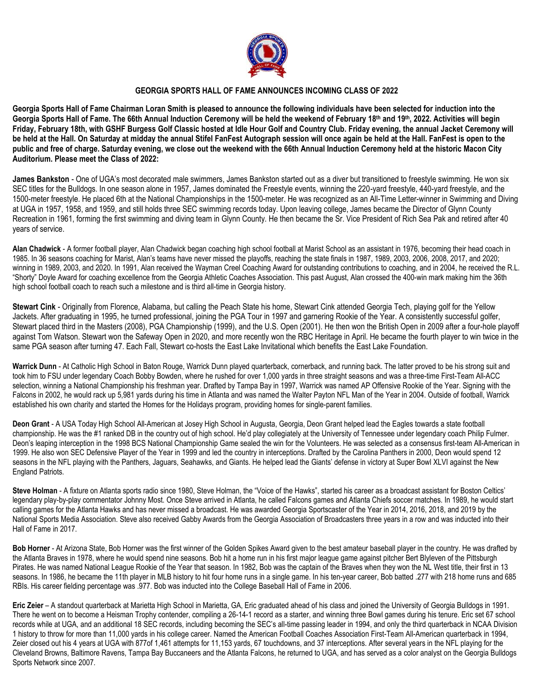

## **GEORGIA SPORTS HALL OF FAME ANNOUNCES INCOMING CLASS OF 2022**

Georgia Sports Hall of Fame Chairman Loran Smith is pleased to announce the following individuals have been selected for induction into the Georgia Sports Hall of Fame. The 66th Annual Induction Ceremony will be held the weekend of February 18th and 19th, 2022. Activities will begin Friday, February 18th, with GSHF Burgess Golf Classic hosted at Idle Hour Golf and Country Club. Friday evening, the annual Jacket Ceremony will be held at the Hall. On Saturday at midday the annual Stifel FanFest Autograph session will once again be held at the Hall. FanFest is open to the public and free of charge. Saturday evening, we close out the weekend with the 66th Annual Induction Ceremony held at the historic Macon City **Auditorium. Please meet the Class of 2022:**

**James Bankston** - One of UGA's most decorated male swimmers, James Bankston started out as a diver but transitioned to freestyle swimming. He won six SEC titles for the Bulldogs. In one season alone in 1957, James dominated the Freestyle events, winning the 220-vard freestyle, 440-vard freestyle, and the 1500-meter freestyle. He placed 6th at the National Championships in the 1500-meter. He was recognized as an All-Time Letter-winner in Swimming and Diving at UGA in 1957, 1958, and 1959, and still holds three SEC swimming records today. Upon leaving college, James became the Director of Glynn County Recreation in 1961, forming the first swimming and diving team in Glynn County. He then became the Sr. Vice President of Rich Sea Pak and retired after 40 years of service.

**Alan Chadwick** - A former football player, Alan Chadwick began coaching high school football at Marist School as an assistant in 1976, becoming their head coach in 1985. In 36 seasons coaching for Marist, Alan's teams have never missed the playoffs, reaching the state finals in 1987, 1989, 2003, 2006, 2008, 2017, and 2020; winning in 1989, 2003, and 2020. In 1991, Alan received the Wayman Creel Coaching Award for outstanding contributions to coaching, and in 2004, he received the R.L. "Shorty" Doyle Award for coaching excellence from the Georgia Athletic Coaches Association. This past August, Alan crossed the 400-win mark making him the 36th high school football coach to reach such a milestone and is third all-time in Georgia history.

**Stewart Cink** - Originally from Florence, Alabama, but calling the Peach State his home, Stewart Cink attended Georgia Tech, playing golf for the Yellow Jackets. After graduating in 1995, he turned professional, joining the PGA Tour in 1997 and garnering Rookie of the Year. A consistently successful golfer, Stewart placed third in the Masters (2008), PGA Championship (1999), and the U.S. Open (2001). He then won the British Open in 2009 after a four-hole playoff against Tom Watson. Stewart won the Safeway Open in 2020, and more recently won the RBC Heritage in April. He became the fourth player to win twice in the same PGA season after turning 47. Each Fall, Stewart co-hosts the East Lake Invitational which benefits the East Lake Foundation.

Warrick Dunn - At Catholic High School in Baton Rouge, Warrick Dunn played quarterback, cornerback, and running back. The latter proved to be his strong suit and took him to FSU under legendary Coach Bobby Bowden, where he rushed for over 1,000 yards in three straight seasons and was a three-time First-Team All-ACC selection, winning a National Championship his freshman year. Drafted by Tampa Bay in 1997, Warrick was named AP Offensive Rookie of the Year. Signing with the Falcons in 2002, he would rack up 5,981 yards during his time in Atlanta and was named the Walter Payton NFL Man of the Year in 2004. Outside of football, Warrick established his own charity and started the Homes for the Holidays program, providing homes for single-parent families.

**Deon Grant** - A USA Today High School All-American at Josey High School in Augusta, Georgia, Deon Grant helped lead the Eagles towards a state football championship. He was the #1 ranked DB in the country out of high school. He'd play collegiately at the University of Tennessee under legendary coach Philip Fulmer. Deon's leaping interception in the 1998 BCS National Championship Game sealed the win for the Volunteers. He was selected as a consensus first-team All-American in 1999. He also won SEC Defensive Player of the Year in 1999 and led the country in interceptions. Drafted by the Carolina Panthers in 2000, Deon would spend 12 seasons in the NFL playing with the Panthers, Jaguars, Seahawks, and Giants. He helped lead the Giants' defense in victory at Super Bowl XLVI against the New England Patriots.

**Steve Holman** - A fixture on Atlanta sports radio since 1980, Steve Holman, the "Voice of the Hawks", started his career as a broadcast assistant for Boston Celtics' legendary play-by-play commentator Johnny Most. Once Steve arrived in Atlanta, he called Falcons games and Atlanta Chiefs soccer matches. In 1989, he would start calling games for the Atlanta Hawks and has never missed a broadcast. He was awarded Georgia Sportscaster of the Year in 2014, 2016, 2018, and 2019 by the National Sports Media Association. Steve also received Gabby Awards from the Georgia Association of Broadcasters three years in a row and was inducted into their Hall of Fame in 2017.

**Bob Horner** - At Arizona State, Bob Horner was the first winner of the Golden Spikes Award given to the best amateur baseball player in the country. He was drafted by the Atlanta Braves in 1978, where he would spend nine seasons. Bob hit a home run in his first major league game against pitcher Bert Blyleven of the Pittsburgh Pirates. He was named National League Rookie of the Year that season. In 1982, Bob was the captain of the Braves when they won the NL West title, their first in 13 seasons. In 1986, he became the 11th player in MLB history to hit four home runs in a single game. In his ten-year career, Bob batted .277 with 218 home runs and 685 RBIs. His career fielding percentage was .977. Bob was inducted into the College Baseball Hall of Fame in 2006.

**Eric Zeier** – A standout quarterback at Marietta High School in Marietta, GA, Eric graduated ahead of his class and joined the University of Georgia Bulldogs in 1991. There he went on to become a Heisman Trophy contender, compiling a 26-14-1 record as a starter, and winning three Bowl games during his tenure. Eric set 67 school records while at UGA, and an additional 18 SEC records, including becoming the SEC's all-time passing leader in 1994, and only the third quarterback in NCAA Division 1 history to throw for more than 11,000 yards in his college career. Named the American Football Coaches Association First-Team All-American quarterback in 1994, Zeier closed out his 4 years at UGA with 877of 1,461 attempts for 11,153 yards, 67 touchdowns, and 37 interceptions. After several years in the NFL playing for the Cleveland Browns, Baltimore Ravens, Tampa Bay Buccaneers and the Atlanta Falcons, he returned to UGA, and has served as a color analyst on the Georgia Bulldogs Sports Network since 2007.